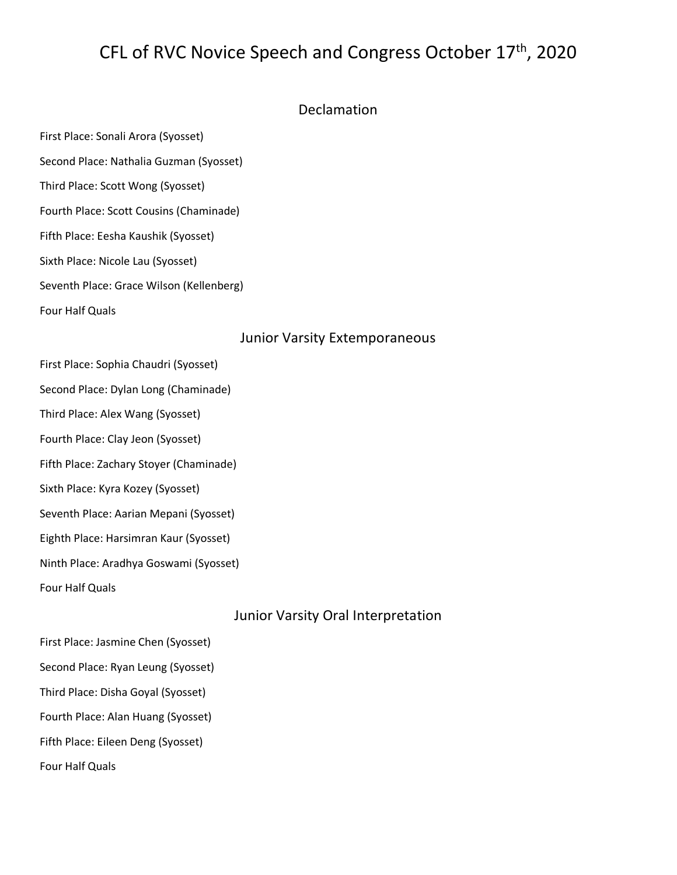# CFL of RVC Novice Speech and Congress October 17th, 2020

### Declamation

First Place: Sonali Arora (Syosset)

Second Place: Nathalia Guzman (Syosset)

Third Place: Scott Wong (Syosset)

Fourth Place: Scott Cousins (Chaminade)

Fifth Place: Eesha Kaushik (Syosset)

Sixth Place: Nicole Lau (Syosset)

Seventh Place: Grace Wilson (Kellenberg)

Four Half Quals

#### Junior Varsity Extemporaneous

First Place: Sophia Chaudri (Syosset) Second Place: Dylan Long (Chaminade) Third Place: Alex Wang (Syosset) Fourth Place: Clay Jeon (Syosset) Fifth Place: Zachary Stoyer (Chaminade) Sixth Place: Kyra Kozey (Syosset) Seventh Place: Aarian Mepani (Syosset) Eighth Place: Harsimran Kaur (Syosset) Ninth Place: Aradhya Goswami (Syosset) Four Half Quals

# Junior Varsity Oral Interpretation

| First Place: Jasmine Chen (Syosset) |
|-------------------------------------|
| Second Place: Ryan Leung (Syosset)  |
| Third Place: Disha Goyal (Syosset)  |
| Fourth Place: Alan Huang (Syosset)  |
| Fifth Place: Eileen Deng (Syosset)  |
| Four Half Quals                     |